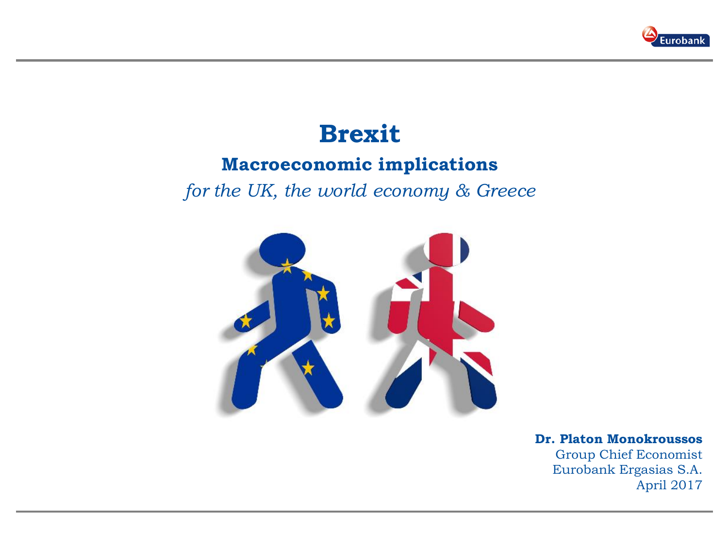

# **Brexit**

## **Macroeconomic implications**

*for the UK, the world economy & Greece*



## **Dr. Platon Monokroussos**

Group Chief Economist Eurobank Ergasias S.A. April 2017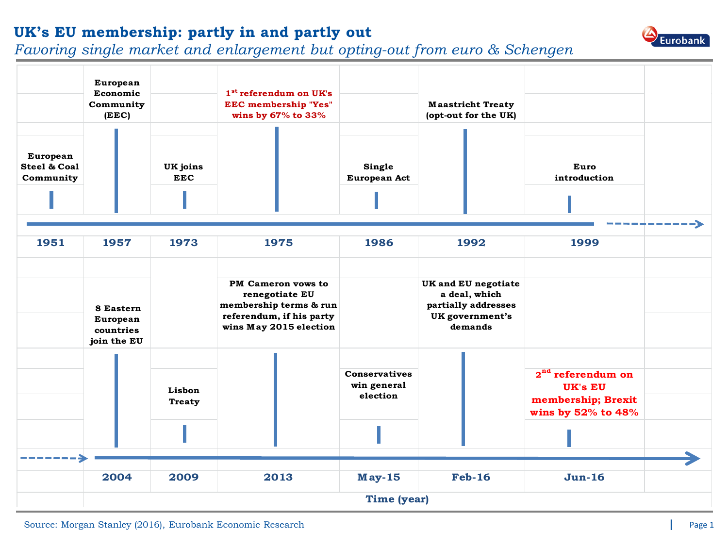### **UK's EU membership: partly in and partly out**

### *Favoring single market and enlargement but opting-out from euro & Schengen*



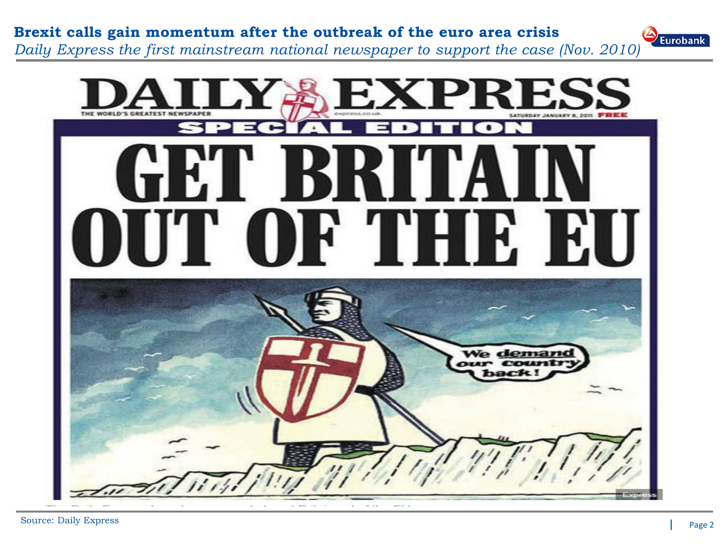

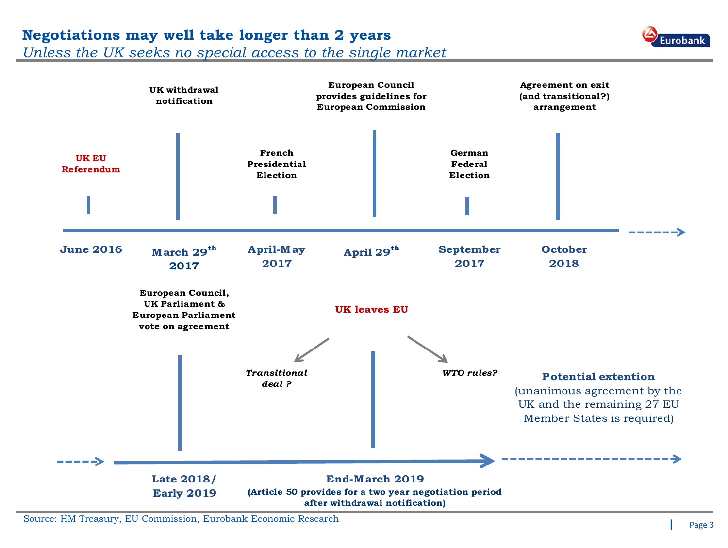## **Negotiations may well take longer than 2 years**

*Unless the UK seeks no special access to the single market*



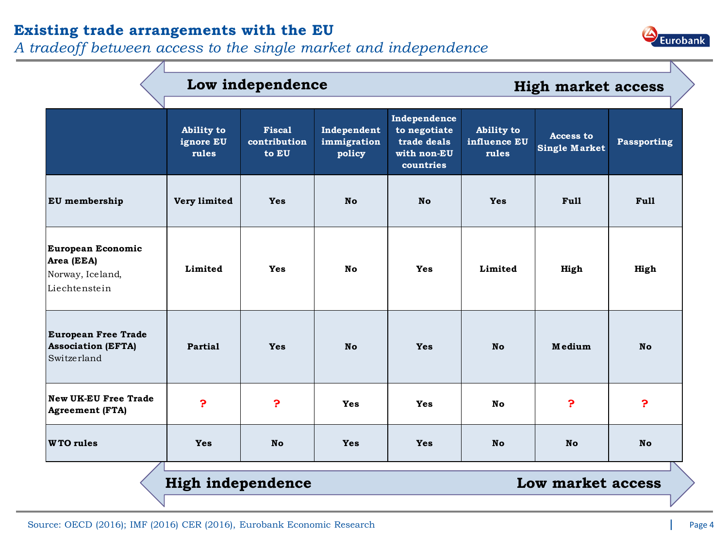## **Existing trade arrangements with the EU**

*A tradeoff between access to the single market and independence*



|                                                                        | Low independence                 |                                        |                                      |                                                                         | <b>High market access</b>           |                                          |             |  |
|------------------------------------------------------------------------|----------------------------------|----------------------------------------|--------------------------------------|-------------------------------------------------------------------------|-------------------------------------|------------------------------------------|-------------|--|
|                                                                        | Ability to<br>ignore EU<br>rules | <b>Fiscal</b><br>contribution<br>to EU | Independent<br>immigration<br>policy | Independence<br>to negotiate<br>trade deals<br>with non-EU<br>countries | Ability to<br>influence EU<br>rules | <b>Access to</b><br><b>Single Market</b> | Passporting |  |
| EU membership                                                          | Very limited                     | <b>Yes</b>                             | <b>No</b>                            | <b>No</b>                                                               | <b>Yes</b>                          | Full                                     | <b>Full</b> |  |
| European Economic<br>Area (EEA)<br>Norway, Iceland,<br>Liechtenstein   | Limited                          | Yes                                    | No                                   | <b>Yes</b>                                                              | Limited                             | High                                     | High        |  |
| <b>European Free Trade</b><br><b>Association (EFTA)</b><br>Switzerland | Partial                          | <b>Yes</b>                             | <b>No</b>                            | <b>Yes</b>                                                              | <b>No</b>                           | Medium                                   | <b>No</b>   |  |
| <b>New UK-EU Free Trade</b><br><b>Agreement (FTA)</b>                  | $\mathbf{P}$                     | P                                      | <b>Yes</b>                           | <b>Yes</b>                                                              | <b>No</b>                           | P                                        | P           |  |
| <b>WTO</b> rules                                                       | <b>Yes</b>                       | <b>No</b>                              | <b>Yes</b>                           | <b>Yes</b>                                                              | <b>No</b>                           | <b>No</b>                                | <b>No</b>   |  |
| <b>High independence</b><br>Low market access                          |                                  |                                        |                                      |                                                                         |                                     |                                          |             |  |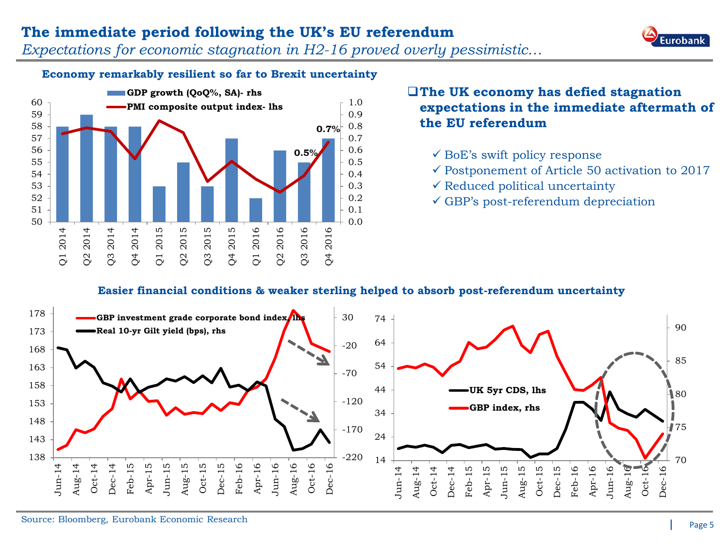### **The immediate period following the UK's EU referendum**

*Expectations for economic stagnation in H2-16 proved overly pessimistic…*



#### **Economy remarkably resilient so far to Brexit uncertainty**



#### **The UK economy has defied stagnation expectations in the immediate aftermath of the EU referendum**

- $\checkmark$  BoE's swift policy response
- $\checkmark$  Postponement of Article 50 activation to 2017
- $\checkmark$  Reduced political uncertainty
- $\checkmark$  GBP's post-referendum depreciation

#### **Easier financial conditions & weaker sterling helped to absorb post-referendum uncertainty**

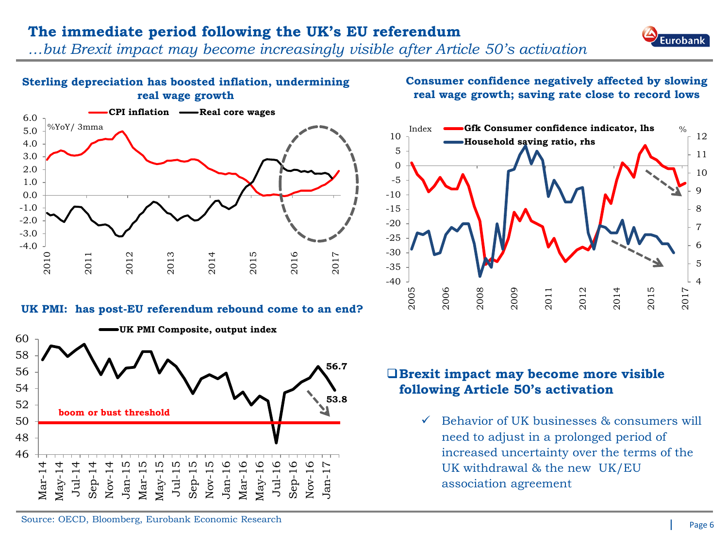### **The immediate period following the UK's EU referendum**

*…but Brexit impact may become increasingly visible after Article 50's activation*

#### **Sterling depreciation has boosted inflation, undermining real wage growth**



#### **UK PMI: has post-EU referendum rebound come to an end?**



#### **Consumer confidence negatively affected by slowing real wage growth; saving rate close to record lows**



#### **Brexit impact may become more visible following Article 50's activation**

 $\checkmark$  Behavior of UK businesses & consumers will need to adjust in a prolonged period of increased uncertainty over the terms of the UK withdrawal & the new UK/EU association agreement

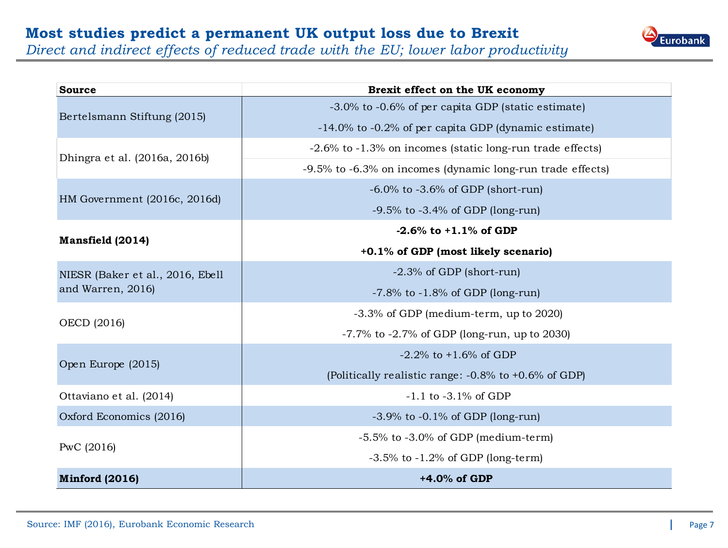

*Direct and indirect effects of reduced trade with the EU; lower labor productivity*

| <b>Source</b>                    | Brexit effect on the UK economy                            |  |  |  |  |
|----------------------------------|------------------------------------------------------------|--|--|--|--|
| Bertelsmann Stiftung (2015)      | -3.0% to -0.6% of per capita GDP (static estimate)         |  |  |  |  |
|                                  | -14.0% to -0.2% of per capita GDP (dynamic estimate)       |  |  |  |  |
| Dhingra et al. (2016a, 2016b)    | -2.6% to -1.3% on incomes (static long-run trade effects)  |  |  |  |  |
|                                  | -9.5% to -6.3% on incomes (dynamic long-run trade effects) |  |  |  |  |
| HM Government (2016c, 2016d)     | $-6.0\%$ to $-3.6\%$ of GDP (short-run)                    |  |  |  |  |
|                                  | $-9.5\%$ to $-3.4\%$ of GDP (long-run)                     |  |  |  |  |
|                                  | $-2.6\%$ to $+1.1\%$ of GDP                                |  |  |  |  |
| Mansfield (2014)                 | +0.1% of GDP (most likely scenario)                        |  |  |  |  |
| NIESR (Baker et al., 2016, Ebell | $-2.3\%$ of GDP (short-run)                                |  |  |  |  |
| and Warren, 2016)                | $-7.8\%$ to $-1.8\%$ of GDP (long-run)                     |  |  |  |  |
| OECD (2016)                      | $-3.3\%$ of GDP (medium-term, up to 2020)                  |  |  |  |  |
|                                  | $-7.7\%$ to $-2.7\%$ of GDP (long-run, up to 2030)         |  |  |  |  |
| Open Europe (2015)               | $-2.2\%$ to $+1.6\%$ of GDP                                |  |  |  |  |
|                                  | (Politically realistic range: $-0.8\%$ to $+0.6\%$ of GDP) |  |  |  |  |
| Ottaviano et al. (2014)          | $-1.1$ to $-3.1\%$ of GDP                                  |  |  |  |  |
| Oxford Economics (2016)          | $-3.9\%$ to $-0.1\%$ of GDP (long-run)                     |  |  |  |  |
|                                  | $-5.5\%$ to $-3.0\%$ of GDP (medium-term)                  |  |  |  |  |
| PwC (2016)                       | $-3.5\%$ to $-1.2\%$ of GDP (long-term)                    |  |  |  |  |
| <b>Minford (2016)</b>            | $+4.0\%$ of GDP                                            |  |  |  |  |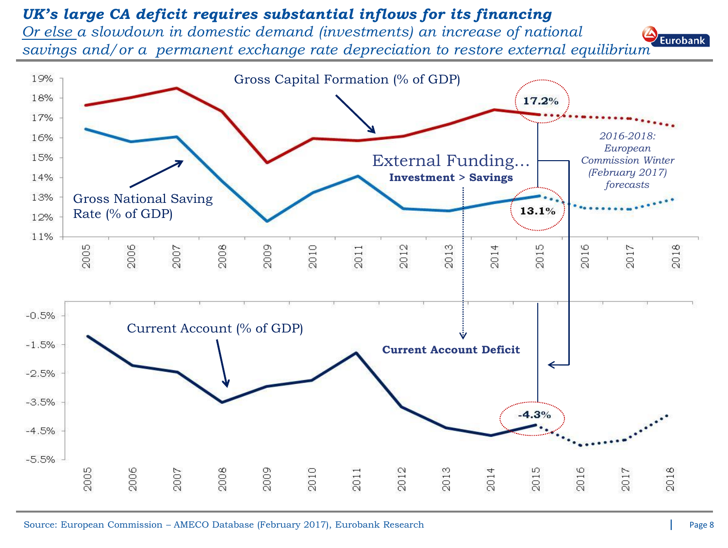## *UK's large CA deficit requires substantial inflows for its financing*

*Or else a slowdown in domestic demand (investments) an increase of national savings and/or a permanent exchange rate depreciation to restore external equilibrium*



Eurobank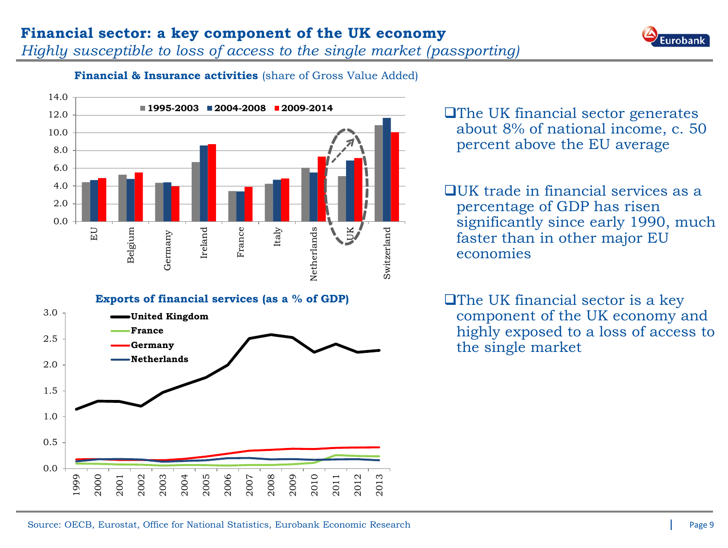## **Financial sector: a key component of the UK economy**

*Highly susceptible to loss of access to the single market (passporting)*



#### **Financial & Insurance activities** (share of Gross Value Added)



The UK financial sector generates about 8% of national income, c. 50 percent above the EU average

 $\Box$ UK trade in financial services as a percentage of GDP has risen significantly since early 1990, much faster than in other major EU economies

**□The UK financial sector is a key** component of the UK economy and highly exposed to a loss of access to the single market



2006

2007

2008

2009

2010

2011

2012

2013

2005

0.0

1999

2000

2001

2002

2003

**Germany Netherlands**

2004

0.5

1.0

1.5

2.0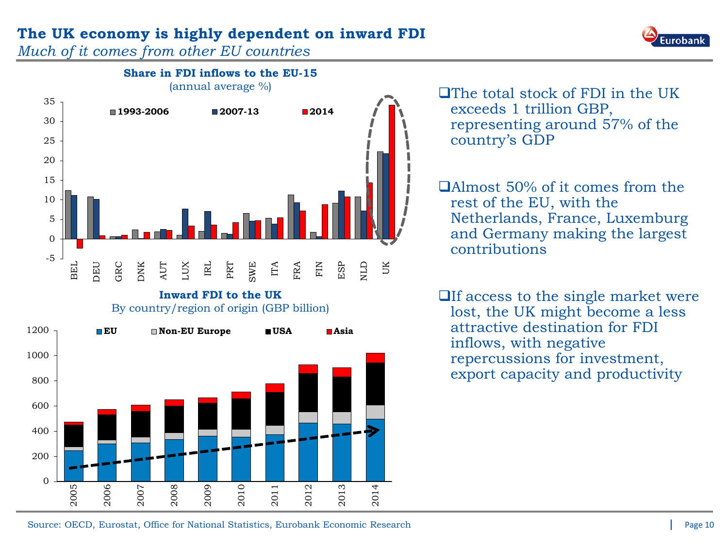## **The UK economy is highly dependent on inward FDI**

*Much of it comes from other EU countries* 



 $\Box$  The total stock of FDI in the UK exceeds 1 trillion GBP, representing around 57% of the country's GDP

Almost 50% of it comes from the rest of the EU, with the Netherlands, France, Luxemburg and Germany making the largest contributions

 $\Box$  If access to the single market were lost, the UK might become a less attractive destination for FDI inflows, with negative repercussions for investment, export capacity and productivity

2010

2011

2012

2013

2014

2009

 $\Omega$ 

2005

2006

2007

2008

200

Eurobank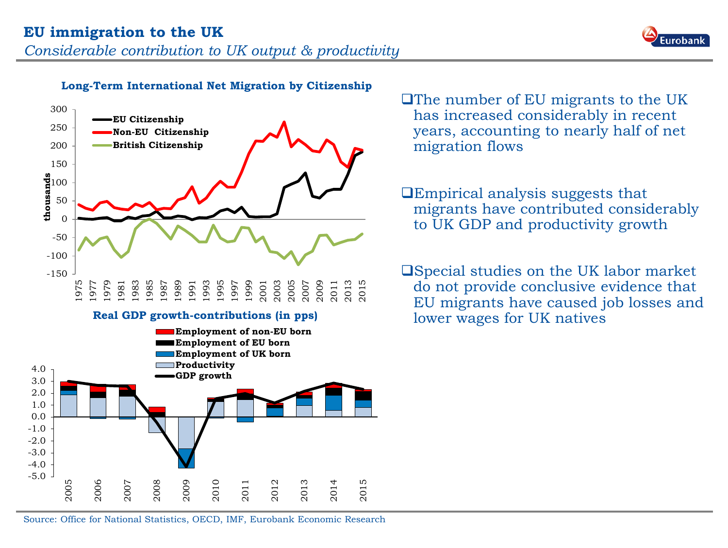



#### **Long-Term International Net Migration by Citizenship**



The number of EU migrants to the UK has increased considerably in recent years, accounting to nearly half of net migration flows

Empirical analysis suggests that migrants have contributed considerably to UK GDP and productivity growth

Special studies on the UK labor market do not provide conclusive evidence that EU migrants have caused job losses and **Real GDP growth-contributions (in pps)** lower wages for UK natives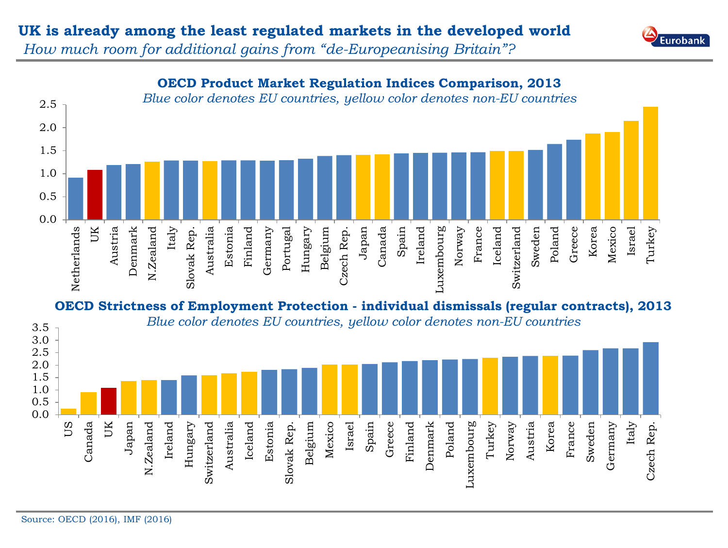## **UK is already among the least regulated markets in the developed world**



*How much room for additional gains from "de-Europeanising Britain"?* 



**OECD Strictness of Employment Protection - individual dismissals (regular contracts), 2013** *Blue color denotes EU countries, yellow color denotes non-EU countries* 3.5

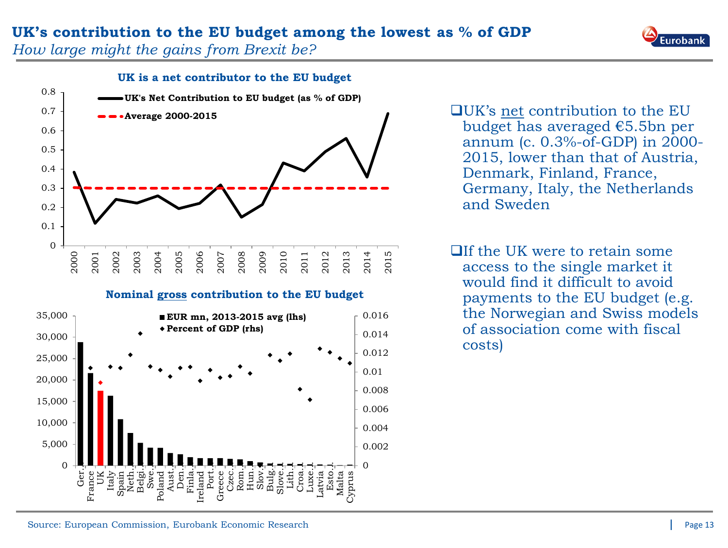Eurobank

*How large might the gains from Brexit be?*



**Nominal gross contribution to the EU budget**



UK's net contribution to the EU budget has averaged €5.5bn per annum (c. 0.3%-of-GDP) in 2000- 2015, lower than that of Austria, Denmark, Finland, France, Germany, Italy, the Netherlands and Sweden

 $\Box$  If the UK were to retain some access to the single market it would find it difficult to avoid payments to the EU budget (e.g. the Norwegian and Swiss models of association come with fiscal costs)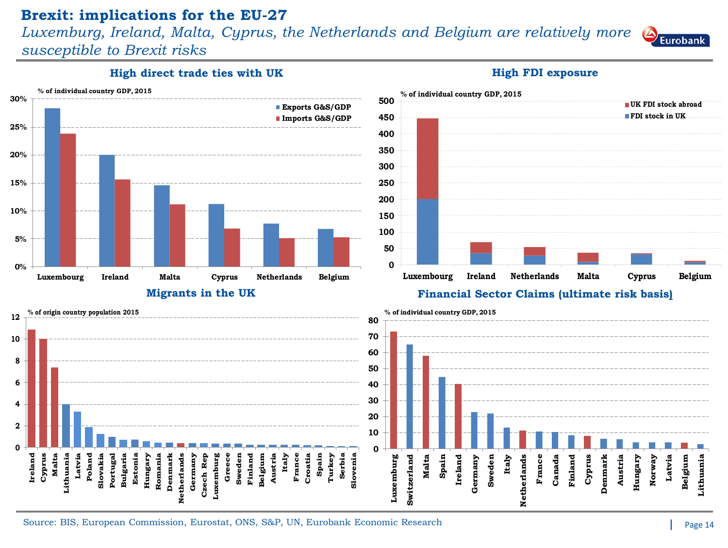#### **Brexit: implications for the EU-27**

*Luxemburg, Ireland, Malta, Cyprus, the Netherlands and Belgium are relatively more* 

*susceptible to Brexit risks*

**High direct trade ties with UK <b>High FDI exposure High FDI** exposure



Source: BIS, European Commission, Eurostat, ONS, S&P, UN, Eurobank Economic Research

**Eurobank**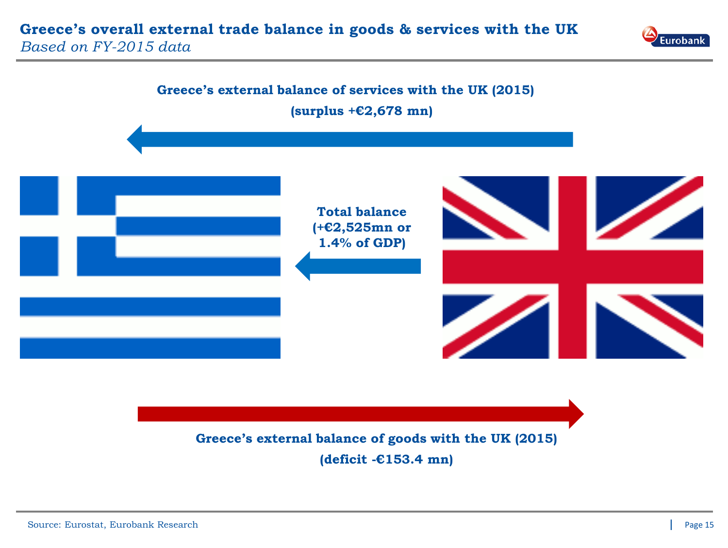



## **Greece's external balance of goods with the UK (2015) (deficit -€153.4 mn)**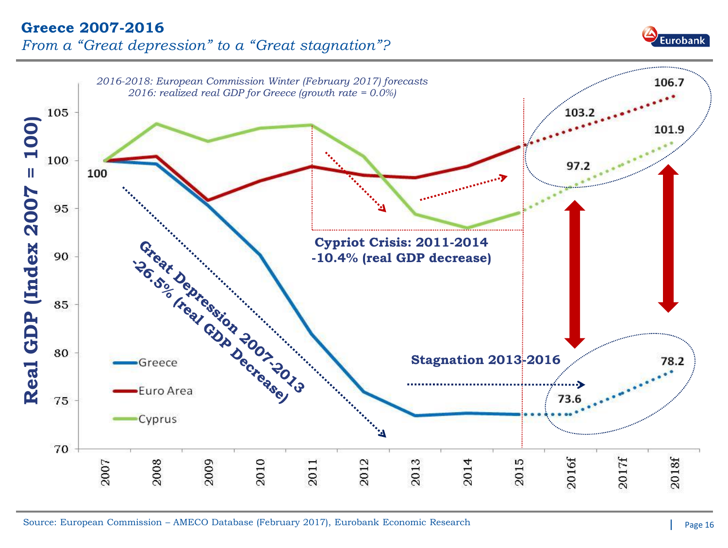#### **Greece 2007-2016** *From a "Great depression" to a "Great stagnation"?*



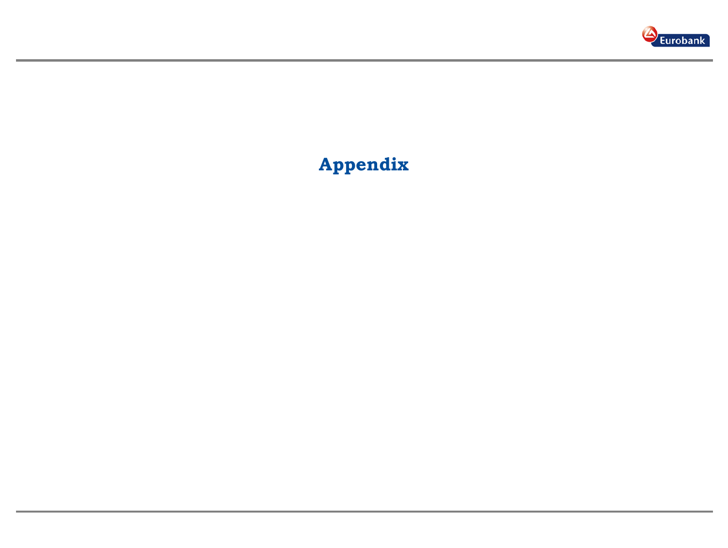

# **Appendix**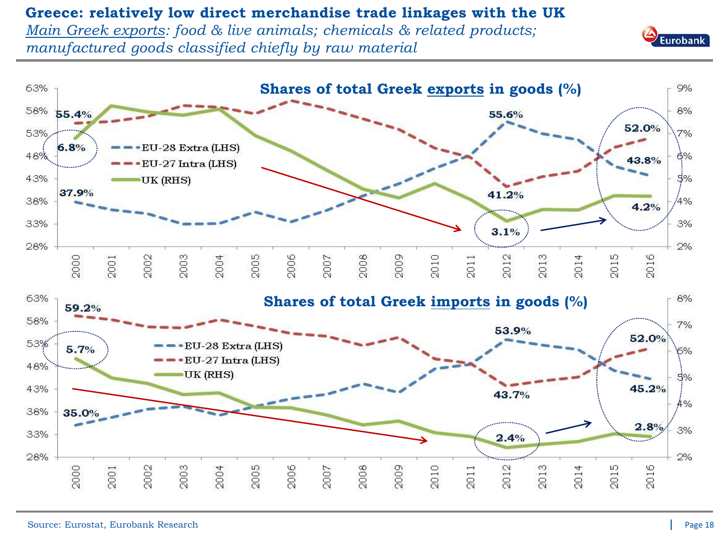#### **Greece: relatively low direct merchandise trade linkages with the UK**

*Main Greek exports: food & live animals; chemicals & related products; manufactured goods classified chiefly by raw material*